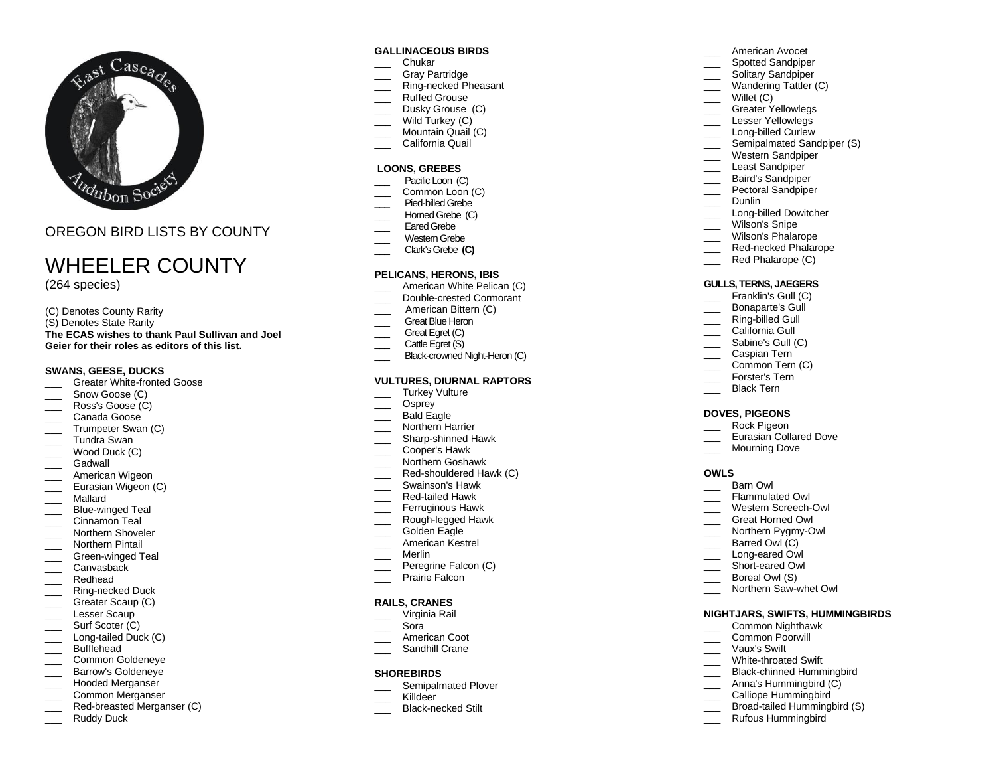

OREGON BIRD LISTS BY COUNTY

# WHEELER COUNTY

(2 6 4 species)

(C) Denotes County Rarity (S) Denotes State Rarity **The ECAS wishes to thank Paul Sullivan and Joel Geier for their roles as editors of this list.**

## **SWANS, GEESE, DUCKS**

- \_\_\_ Greater White -fronted Goose
- Snow Goose (C)
- Ross's Goose (C)
- Canada Goose
- Trumpeter Swan (C)
- \_\_\_ Tundra Swan
- $\equiv$  Wood Duck (C)
- Gadwall
- American Wigeon
- **Eurasian Wigeon (C)**
- \_\_\_ Mallard
- \_\_\_ Blue -winged Teal
- Cinnamon Teal
- \_\_\_ Northern Shoveler
- \_\_\_ Northern Pintail
- \_\_\_ Green -winged Teal
- Canvasback
- \_\_\_ Redhead
- \_\_\_ Ring -necked Duck
- Greater Scaup (C)
- Lesser Scaup
- \_\_\_\_ Surf Scoter (C) \_\_\_ Long -tailed Duck (C)
- Bufflehead
- Common Goldeneye
- Barrow's Goldeneye
- Hooded Merganser
- Common Merganser
- \_\_\_ Red -breasted Merganser (C)
- Ruddy Duck

## **GALLINACEOUS BIRDS**

- \_\_\_ Chukar
- Gray Partridge
- \_\_\_ Ring -necked Pheasant
- Ruffed Grouse
- Dusky Grouse (C)
- Wild Turkey (C)
- Mountain Quail (C)
- California Quail

# **LOONS, GREBES**

- Pacific Loon (C)
- Common Loon (C)
- **\_\_\_** Pied -billed Grebe
- Horned Grebe (C)
- Eared Grebe Western Grebe
- \_\_\_ Clark's Grebe **(C)**
- 

## **PELICANS, HERONS, IBIS**

- American White Pelican (C)
- \_\_\_ Double -crested Cormorant
- American Bittern (C)
- Great Blue Heron
- Great Egret (C)
- Cattle Egret (S)
- \_\_\_ Black-crowned Night-Heron (C)

# **VULTURES, DIURNAL RAPTORS**

- Turkey Vulture
- Osprey
- Bald Eagle
- Northern Harrier
- \_\_\_ Sharp -shinned Hawk
- $\overline{\phantom{a}}$ Cooper's Hawk
- \_\_\_ Northern Goshawk
- \_\_\_ Red -shouldered Hawk (C)
- \_\_\_ Swainson's Hawk
- \_\_\_ Red -tailed Hawk
- \_\_\_ Ferruginous Hawk
- \_\_\_ Rough -legged Hawk
- Golden Eagle
- American Kestrel
- \_\_\_ Merlin
- Peregrine Falcon (C)
- Prairie Falcon

#### **RAILS, CRANES**

- \_\_\_ Virginia Rail
- \_\_\_ Sora
- American Coot
- **\_\_\_\_** Sandhill Crane

#### **SHOREBIRDS**

- Semipalmated Plover
- Killdeer
- \_\_\_ Black -necked Stilt

# American Avocet

- Spotted Sandpiper
- Solitary Sandpiper
- Wandering Tattler (C)
- Willet (C)
- Greater Yellowlegs
- Lesser Yellowlegs
- \_\_\_ Long -billed Curlew
- Semipalmated Sandpiper (S)
- Western Sandpiper
- Least Sandpiper
- Baird's Sandpiper
- Pectoral Sandpiper Dunlin

DOVES, PIGEONS Rock Pigeon

\_\_\_ Barn Owl \_\_\_ Flammulated Owl \_\_\_ Western Screech -Owl \_\_\_ Great Horned Owl \_\_\_ Northern Pygmy-Owl Barred Owl (C) \_\_\_ Long -eared Owl \_\_\_\_ Short-eared Owl Boreal Owl (S) \_\_\_ Northern Saw -whet Owl

**OWLS**

Eurasian Collared Dove Mourning Dove

**NIGHTJARS, SWIFTS, HUMMINGBIRDS** \_\_\_ Common Nighthawk Common Poorwill \_\_\_ Vaux's Swift \_\_\_ White -throated Swift \_\_\_ Black -chinned Hummingbird \_\_\_ Anna's Hummingbird (C) Calliope Hummingbird \_\_\_ Broad -tailed Hummingbird (S) \_\_\_\_ Rufous Hummingbird

\_\_\_ Long -billed Dowitcher Wilson's Snipe Wilson's Phalarope \_\_\_ Red -necked Phalarope \_\_\_ Red Phalarope (C) **GULLS, TERNS, JAEGERS** Franklin's Gull (C) \_\_\_ Bonaparte's Gull \_\_\_ Ring -billed Gull California Gull Sabine's Gull (C) \_\_\_ Caspian Tern Common Tern (C) \_\_\_ Forster's Tern Black Tern